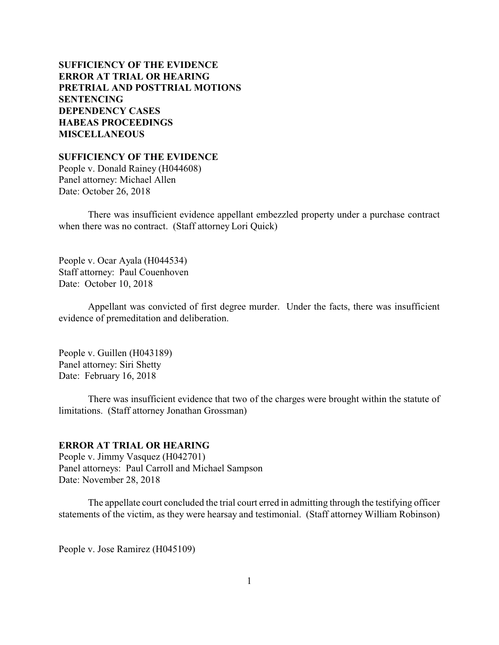# **SUFFICIENCY OF THE EVIDENCE ERROR AT TRIAL OR HEARING [PRETRIAL AND POSTTRIAL MOTIONS](#page-4-0) [SENTENCING](#page-6-0) [DEPENDENCY CASES](#page-15-0) [HABEAS PROCEEDINGS](#page-16-0) [MISCELLANEOUS](#page-17-0)**

**SUFFICIENCY OF THE EVIDENCE**

People v. Donald Rainey (H044608) Panel attorney: Michael Allen Date: October 26, 2018

There was insufficient evidence appellant embezzled property under a purchase contract when there was no contract. (Staff attorney Lori Quick)

People v. Ocar Ayala (H044534) Staff attorney: Paul Couenhoven Date: October 10, 2018

Appellant was convicted of first degree murder. Under the facts, there was insufficient evidence of premeditation and deliberation.

People v. Guillen (H043189) Panel attorney: Siri Shetty Date: February 16, 2018

There was insufficient evidence that two of the charges were brought within the statute of limitations. (Staff attorney Jonathan Grossman)

## **ERROR AT TRIAL OR HEARING**

People v. Jimmy Vasquez (H042701) Panel attorneys: Paul Carroll and Michael Sampson Date: November 28, 2018

The appellate court concluded the trial court erred in admitting through the testifying officer statements of the victim, as they were hearsay and testimonial. (Staff attorney William Robinson)

People v. Jose Ramirez (H045109)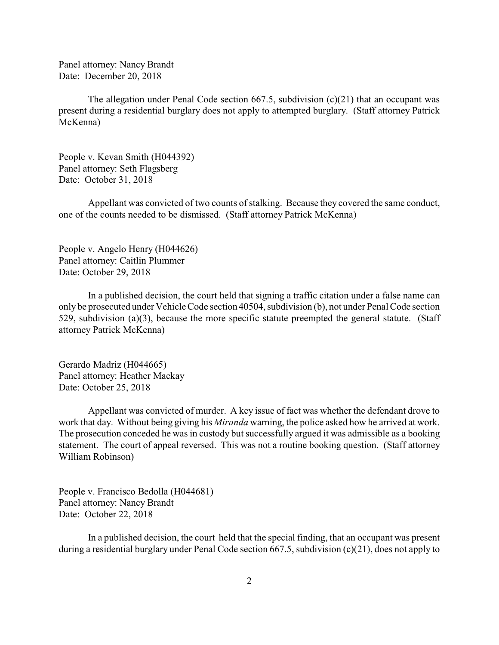Panel attorney: Nancy Brandt Date: December 20, 2018

The allegation under Penal Code section 667.5, subdivision  $(c)(21)$  that an occupant was present during a residential burglary does not apply to attempted burglary. (Staff attorney Patrick McKenna)

People v. Kevan Smith (H044392) Panel attorney: Seth Flagsberg Date: October 31, 2018

Appellant was convicted of two counts of stalking. Because they covered the same conduct, one of the counts needed to be dismissed. (Staff attorney Patrick McKenna)

People v. Angelo Henry (H044626) Panel attorney: Caitlin Plummer Date: October 29, 2018

In a published decision, the court held that signing a traffic citation under a false name can only be prosecuted under Vehicle Code section 40504, subdivision (b), not under Penal Code section 529, subdivision (a)(3), because the more specific statute preempted the general statute. (Staff attorney Patrick McKenna)

Gerardo Madriz (H044665) Panel attorney: Heather Mackay Date: October 25, 2018

Appellant was convicted of murder. A key issue of fact was whether the defendant drove to work that day. Without being giving his *Miranda* warning, the police asked how he arrived at work. The prosecution conceded he was in custody but successfully argued it was admissible as a booking statement. The court of appeal reversed. This was not a routine booking question. (Staff attorney William Robinson)

People v. Francisco Bedolla (H044681) Panel attorney: Nancy Brandt Date: October 22, 2018

In a published decision, the court held that the special finding, that an occupant was present during a residential burglary under Penal Code section 667.5, subdivision (c)(21), does not apply to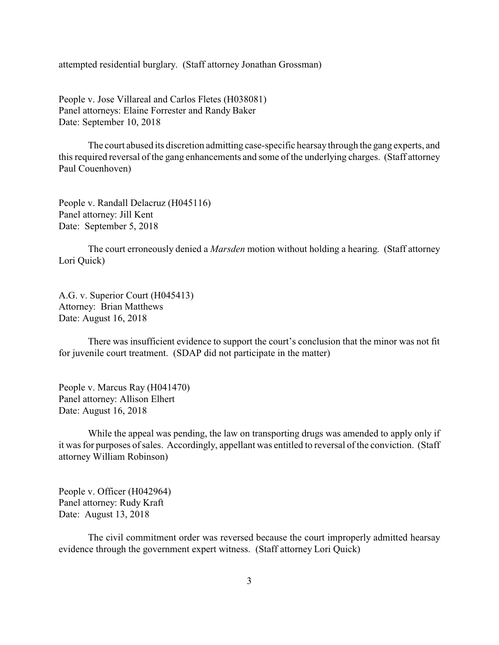attempted residential burglary. (Staff attorney Jonathan Grossman)

People v. Jose Villareal and Carlos Fletes (H038081) Panel attorneys: Elaine Forrester and Randy Baker Date: September 10, 2018

The court abused its discretion admitting case-specific hearsay through the gang experts, and this required reversal of the gang enhancements and some of the underlying charges. (Staff attorney Paul Couenhoven)

People v. Randall Delacruz (H045116) Panel attorney: Jill Kent Date: September 5, 2018

The court erroneously denied a *Marsden* motion without holding a hearing. (Staff attorney Lori Quick)

A.G. v. Superior Court (H045413) Attorney: Brian Matthews Date: August 16, 2018

There was insufficient evidence to support the court's conclusion that the minor was not fit for juvenile court treatment. (SDAP did not participate in the matter)

People v. Marcus Ray (H041470) Panel attorney: Allison Elhert Date: August 16, 2018

While the appeal was pending, the law on transporting drugs was amended to apply only if it was for purposes of sales. Accordingly, appellant was entitled to reversal of the conviction. (Staff attorney William Robinson)

People v. Officer (H042964) Panel attorney: Rudy Kraft Date: August 13, 2018

The civil commitment order was reversed because the court improperly admitted hearsay evidence through the government expert witness. (Staff attorney Lori Quick)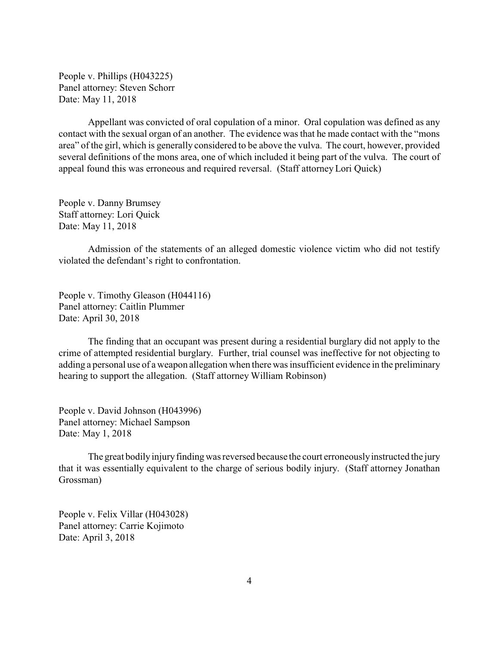People v. Phillips (H043225) Panel attorney: Steven Schorr Date: May 11, 2018

Appellant was convicted of oral copulation of a minor. Oral copulation was defined as any contact with the sexual organ of an another. The evidence was that he made contact with the "mons area" of the girl, which is generally considered to be above the vulva. The court, however, provided several definitions of the mons area, one of which included it being part of the vulva. The court of appeal found this was erroneous and required reversal. (Staff attorney Lori Quick)

People v. Danny Brumsey Staff attorney: Lori Quick Date: May 11, 2018

Admission of the statements of an alleged domestic violence victim who did not testify violated the defendant's right to confrontation.

People v. Timothy Gleason (H044116) Panel attorney: Caitlin Plummer Date: April 30, 2018

The finding that an occupant was present during a residential burglary did not apply to the crime of attempted residential burglary. Further, trial counsel was ineffective for not objecting to adding a personal use of a weapon allegation when there was insufficient evidence in the preliminary hearing to support the allegation. (Staff attorney William Robinson)

People v. David Johnson (H043996) Panel attorney: Michael Sampson Date: May 1, 2018

The great bodily injury finding was reversed because the court erroneously instructed the jury that it was essentially equivalent to the charge of serious bodily injury. (Staff attorney Jonathan Grossman)

People v. Felix Villar (H043028) Panel attorney: Carrie Kojimoto Date: April 3, 2018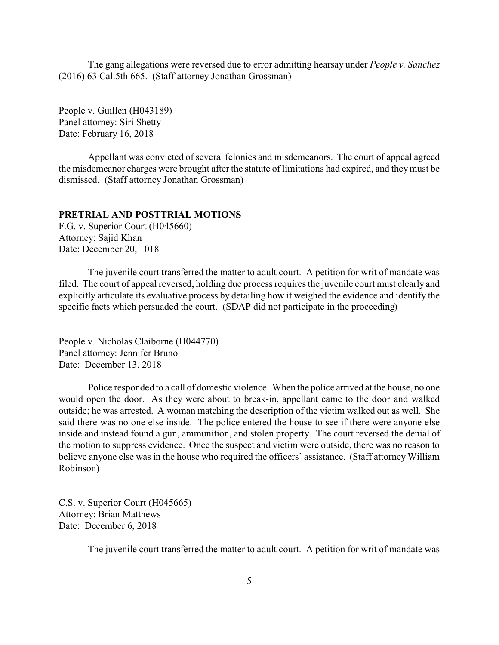<span id="page-4-0"></span>The gang allegations were reversed due to error admitting hearsay under *People v. Sanchez* (2016) 63 Cal.5th 665. (Staff attorney Jonathan Grossman)

People v. Guillen (H043189) Panel attorney: Siri Shetty Date: February 16, 2018

Appellant was convicted of several felonies and misdemeanors. The court of appeal agreed the misdemeanor charges were brought after the statute of limitations had expired, and theymust be dismissed. (Staff attorney Jonathan Grossman)

## **PRETRIAL AND POSTTRIAL MOTIONS**

F.G. v. Superior Court (H045660) Attorney: Sajid Khan Date: December 20, 1018

The juvenile court transferred the matter to adult court. A petition for writ of mandate was filed. The court of appeal reversed, holding due process requires the juvenile court must clearly and explicitly articulate its evaluative process by detailing how it weighed the evidence and identify the specific facts which persuaded the court. (SDAP did not participate in the proceeding)

People v. Nicholas Claiborne (H044770) Panel attorney: Jennifer Bruno Date: December 13, 2018

Police responded to a call of domestic violence. When the police arrived at the house, no one would open the door. As they were about to break-in, appellant came to the door and walked outside; he was arrested. A woman matching the description of the victim walked out as well. She said there was no one else inside. The police entered the house to see if there were anyone else inside and instead found a gun, ammunition, and stolen property. The court reversed the denial of the motion to suppress evidence. Once the suspect and victim were outside, there was no reason to believe anyone else was in the house who required the officers' assistance. (Staff attorney William Robinson)

C.S. v. Superior Court (H045665) Attorney: Brian Matthews Date: December 6, 2018

The juvenile court transferred the matter to adult court. A petition for writ of mandate was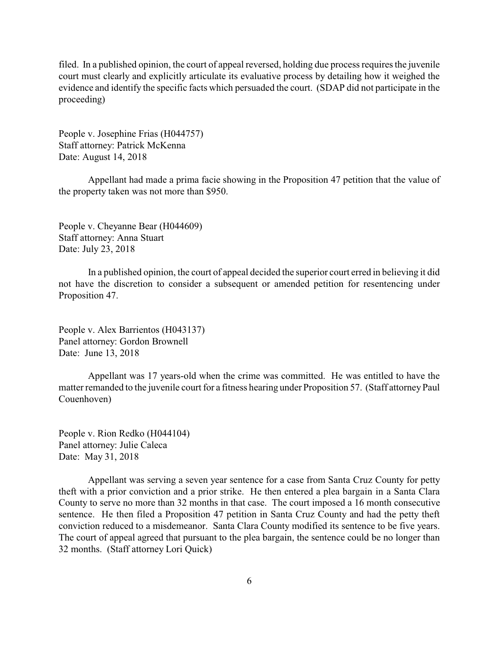filed. In a published opinion, the court of appeal reversed, holding due process requires the juvenile court must clearly and explicitly articulate its evaluative process by detailing how it weighed the evidence and identify the specific facts which persuaded the court. (SDAP did not participate in the proceeding)

People v. Josephine Frias (H044757) Staff attorney: Patrick McKenna Date: August 14, 2018

Appellant had made a prima facie showing in the Proposition 47 petition that the value of the property taken was not more than \$950.

People v. Cheyanne Bear (H044609) Staff attorney: Anna Stuart Date: July 23, 2018

In a published opinion, the court of appeal decided the superior court erred in believing it did not have the discretion to consider a subsequent or amended petition for resentencing under Proposition 47.

People v. Alex Barrientos (H043137) Panel attorney: Gordon Brownell Date: June 13, 2018

Appellant was 17 years-old when the crime was committed. He was entitled to have the matter remanded to the juvenile court for a fitness hearing under Proposition 57. (Staff attorney Paul Couenhoven)

People v. Rion Redko (H044104) Panel attorney: Julie Caleca Date: May 31, 2018

Appellant was serving a seven year sentence for a case from Santa Cruz County for petty theft with a prior conviction and a prior strike. He then entered a plea bargain in a Santa Clara County to serve no more than 32 months in that case. The court imposed a 16 month consecutive sentence. He then filed a Proposition 47 petition in Santa Cruz County and had the petty theft conviction reduced to a misdemeanor. Santa Clara County modified its sentence to be five years. The court of appeal agreed that pursuant to the plea bargain, the sentence could be no longer than 32 months. (Staff attorney Lori Quick)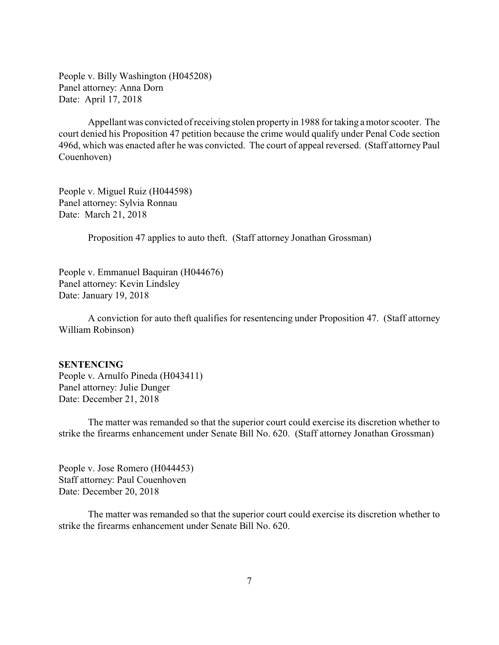<span id="page-6-0"></span>People v. Billy Washington (H045208) Panel attorney: Anna Dorn Date: April 17, 2018

Appellant was convicted of receiving stolen propertyin 1988 for taking a motor scooter. The court denied his Proposition 47 petition because the crime would qualify under Penal Code section 496d, which was enacted after he was convicted. The court of appeal reversed. (Staff attorney Paul Couenhoven)

People v. Miguel Ruiz (H044598) Panel attorney: Sylvia Ronnau Date: March 21, 2018

Proposition 47 applies to auto theft. (Staff attorney Jonathan Grossman)

People v. Emmanuel Baquiran (H044676) Panel attorney: Kevin Lindsley Date: January 19, 2018

A conviction for auto theft qualifies for resentencing under Proposition 47. (Staff attorney William Robinson)

#### **SENTENCING**

People v. Arnulfo Pineda (H043411) Panel attorney: Julie Dunger Date: December 21, 2018

The matter was remanded so that the superior court could exercise its discretion whether to strike the firearms enhancement under Senate Bill No. 620. (Staff attorney Jonathan Grossman)

People v. Jose Romero (H044453) Staff attorney: Paul Couenhoven Date: December 20, 2018

The matter was remanded so that the superior court could exercise its discretion whether to strike the firearms enhancement under Senate Bill No. 620.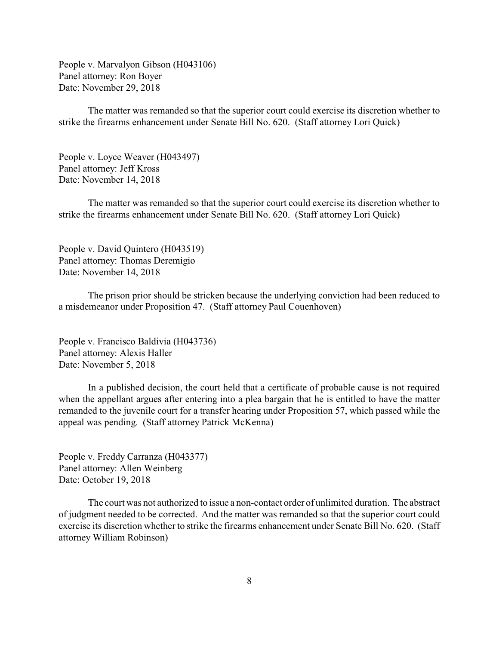People v. Marvalyon Gibson (H043106) Panel attorney: Ron Boyer Date: November 29, 2018

The matter was remanded so that the superior court could exercise its discretion whether to strike the firearms enhancement under Senate Bill No. 620. (Staff attorney Lori Quick)

People v. Loyce Weaver (H043497) Panel attorney: Jeff Kross Date: November 14, 2018

The matter was remanded so that the superior court could exercise its discretion whether to strike the firearms enhancement under Senate Bill No. 620. (Staff attorney Lori Quick)

People v. David Quintero (H043519) Panel attorney: Thomas Deremigio Date: November 14, 2018

The prison prior should be stricken because the underlying conviction had been reduced to a misdemeanor under Proposition 47. (Staff attorney Paul Couenhoven)

People v. Francisco Baldivia (H043736) Panel attorney: Alexis Haller Date: November 5, 2018

In a published decision, the court held that a certificate of probable cause is not required when the appellant argues after entering into a plea bargain that he is entitled to have the matter remanded to the juvenile court for a transfer hearing under Proposition 57, which passed while the appeal was pending. (Staff attorney Patrick McKenna)

People v. Freddy Carranza (H043377) Panel attorney: Allen Weinberg Date: October 19, 2018

The court was not authorized to issue a non-contact order of unlimited duration. The abstract of judgment needed to be corrected. And the matter was remanded so that the superior court could exercise its discretion whether to strike the firearms enhancement under Senate Bill No. 620. (Staff attorney William Robinson)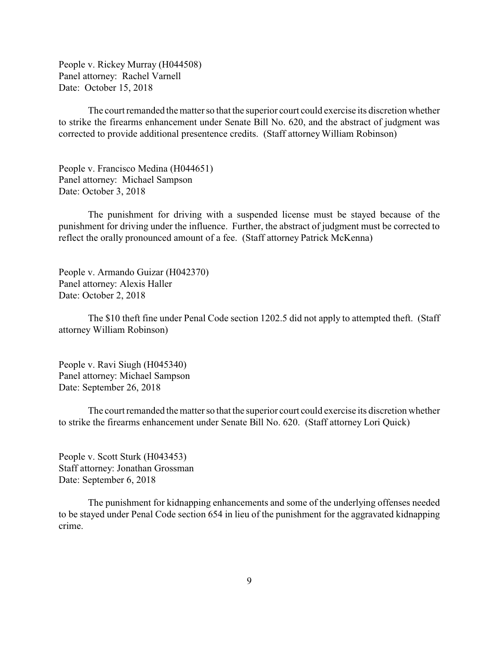People v. Rickey Murray (H044508) Panel attorney: Rachel Varnell Date: October 15, 2018

The court remanded the matter so that the superior court could exercise its discretion whether to strike the firearms enhancement under Senate Bill No. 620, and the abstract of judgment was corrected to provide additional presentence credits. (Staff attorney William Robinson)

People v. Francisco Medina (H044651) Panel attorney: Michael Sampson Date: October 3, 2018

The punishment for driving with a suspended license must be stayed because of the punishment for driving under the influence. Further, the abstract of judgment must be corrected to reflect the orally pronounced amount of a fee. (Staff attorney Patrick McKenna)

People v. Armando Guizar (H042370) Panel attorney: Alexis Haller Date: October 2, 2018

The \$10 theft fine under Penal Code section 1202.5 did not apply to attempted theft. (Staff attorney William Robinson)

People v. Ravi Siugh (H045340) Panel attorney: Michael Sampson Date: September 26, 2018

The court remanded the matter so that the superior court could exercise its discretion whether to strike the firearms enhancement under Senate Bill No. 620. (Staff attorney Lori Quick)

People v. Scott Sturk (H043453) Staff attorney: Jonathan Grossman Date: September 6, 2018

The punishment for kidnapping enhancements and some of the underlying offenses needed to be stayed under Penal Code section 654 in lieu of the punishment for the aggravated kidnapping crime.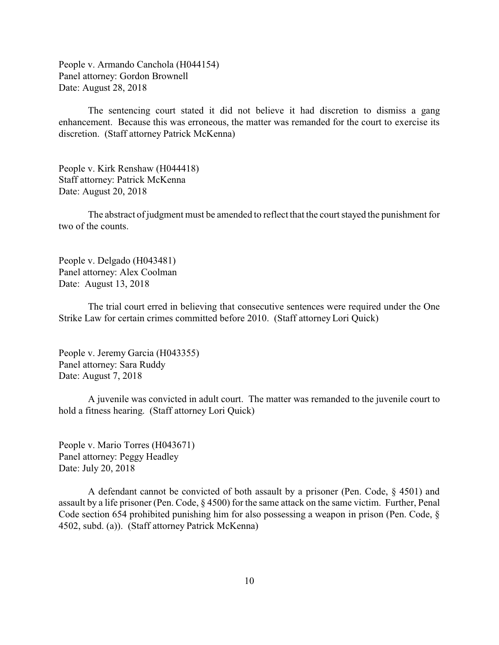People v. Armando Canchola (H044154) Panel attorney: Gordon Brownell Date: August 28, 2018

The sentencing court stated it did not believe it had discretion to dismiss a gang enhancement. Because this was erroneous, the matter was remanded for the court to exercise its discretion. (Staff attorney Patrick McKenna)

People v. Kirk Renshaw (H044418) Staff attorney: Patrick McKenna Date: August 20, 2018

The abstract of judgment must be amended to reflect that the court stayed the punishment for two of the counts.

People v. Delgado (H043481) Panel attorney: Alex Coolman Date: August 13, 2018

The trial court erred in believing that consecutive sentences were required under the One Strike Law for certain crimes committed before 2010. (Staff attorney Lori Quick)

People v. Jeremy Garcia (H043355) Panel attorney: Sara Ruddy Date: August 7, 2018

A juvenile was convicted in adult court. The matter was remanded to the juvenile court to hold a fitness hearing. (Staff attorney Lori Quick)

People v. Mario Torres (H043671) Panel attorney: Peggy Headley Date: July 20, 2018

A defendant cannot be convicted of both assault by a prisoner (Pen. Code, § 4501) and assault by a life prisoner (Pen. Code, § 4500) for the same attack on the same victim. Further, Penal Code section 654 prohibited punishing him for also possessing a weapon in prison (Pen. Code, § 4502, subd. (a)). (Staff attorney Patrick McKenna)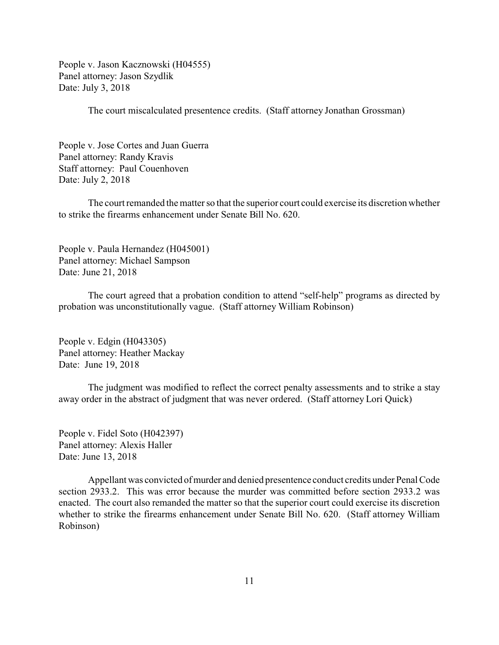People v. Jason Kacznowski (H04555) Panel attorney: Jason Szydlik Date: July 3, 2018

The court miscalculated presentence credits. (Staff attorney Jonathan Grossman)

People v. Jose Cortes and Juan Guerra Panel attorney: Randy Kravis Staff attorney: Paul Couenhoven Date: July 2, 2018

The court remanded the matter so that the superior court could exercise its discretion whether to strike the firearms enhancement under Senate Bill No. 620.

People v. Paula Hernandez (H045001) Panel attorney: Michael Sampson Date: June 21, 2018

The court agreed that a probation condition to attend "self-help" programs as directed by probation was unconstitutionally vague. (Staff attorney William Robinson)

People v. Edgin (H043305) Panel attorney: Heather Mackay Date: June 19, 2018

The judgment was modified to reflect the correct penalty assessments and to strike a stay away order in the abstract of judgment that was never ordered. (Staff attorney Lori Quick)

People v. Fidel Soto (H042397) Panel attorney: Alexis Haller Date: June 13, 2018

Appellant was convicted ofmurder and denied presentence conduct credits under Penal Code section 2933.2. This was error because the murder was committed before section 2933.2 was enacted. The court also remanded the matter so that the superior court could exercise its discretion whether to strike the firearms enhancement under Senate Bill No. 620. (Staff attorney William Robinson)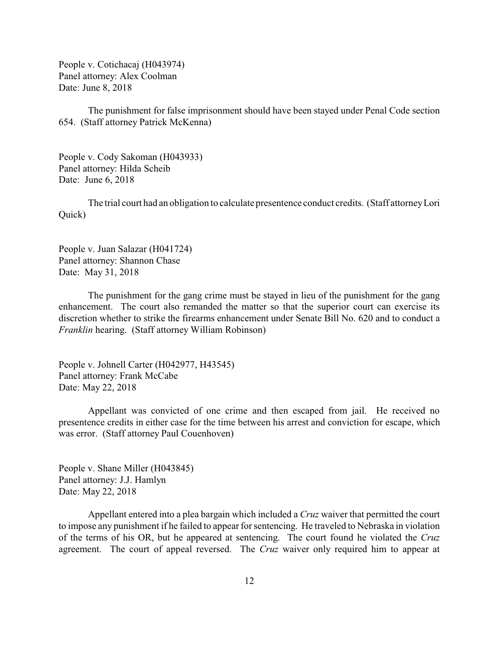People v. Cotichacaj (H043974) Panel attorney: Alex Coolman Date: June 8, 2018

The punishment for false imprisonment should have been stayed under Penal Code section 654. (Staff attorney Patrick McKenna)

People v. Cody Sakoman (H043933) Panel attorney: Hilda Scheib Date: June 6, 2018

The trial court had an obligation to calculate presentence conduct credits. (Staff attorneyLori Quick)

People v. Juan Salazar (H041724) Panel attorney: Shannon Chase Date: May 31, 2018

The punishment for the gang crime must be stayed in lieu of the punishment for the gang enhancement. The court also remanded the matter so that the superior court can exercise its discretion whether to strike the firearms enhancement under Senate Bill No. 620 and to conduct a *Franklin* hearing. (Staff attorney William Robinson)

People v. Johnell Carter (H042977, H43545) Panel attorney: Frank McCabe Date: May 22, 2018

Appellant was convicted of one crime and then escaped from jail. He received no presentence credits in either case for the time between his arrest and conviction for escape, which was error. (Staff attorney Paul Couenhoven)

People v. Shane Miller (H043845) Panel attorney: J.J. Hamlyn Date: May 22, 2018

Appellant entered into a plea bargain which included a *Cruz* waiver that permitted the court to impose any punishment if he failed to appear for sentencing. He traveled to Nebraska in violation of the terms of his OR, but he appeared at sentencing. The court found he violated the *Cruz* agreement. The court of appeal reversed. The *Cruz* waiver only required him to appear at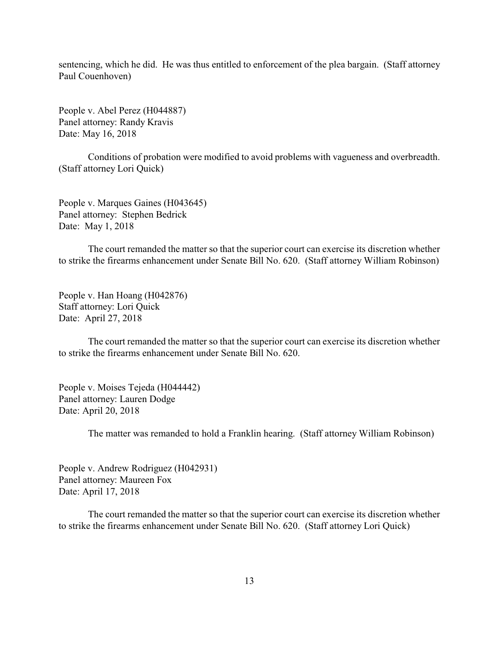sentencing, which he did. He was thus entitled to enforcement of the plea bargain. (Staff attorney Paul Couenhoven)

People v. Abel Perez (H044887) Panel attorney: Randy Kravis Date: May 16, 2018

Conditions of probation were modified to avoid problems with vagueness and overbreadth. (Staff attorney Lori Quick)

People v. Marques Gaines (H043645) Panel attorney: Stephen Bedrick Date: May 1, 2018

The court remanded the matter so that the superior court can exercise its discretion whether to strike the firearms enhancement under Senate Bill No. 620. (Staff attorney William Robinson)

People v. Han Hoang (H042876) Staff attorney: Lori Quick Date: April 27, 2018

The court remanded the matter so that the superior court can exercise its discretion whether to strike the firearms enhancement under Senate Bill No. 620.

People v. Moises Tejeda (H044442) Panel attorney: Lauren Dodge Date: April 20, 2018

The matter was remanded to hold a Franklin hearing. (Staff attorney William Robinson)

People v. Andrew Rodriguez (H042931) Panel attorney: Maureen Fox Date: April 17, 2018

The court remanded the matter so that the superior court can exercise its discretion whether to strike the firearms enhancement under Senate Bill No. 620. (Staff attorney Lori Quick)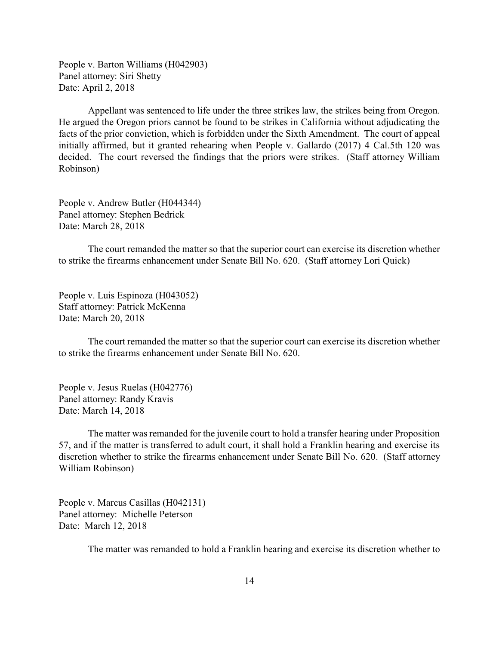People v. Barton Williams (H042903) Panel attorney: Siri Shetty Date: April 2, 2018

Appellant was sentenced to life under the three strikes law, the strikes being from Oregon. He argued the Oregon priors cannot be found to be strikes in California without adjudicating the facts of the prior conviction, which is forbidden under the Sixth Amendment. The court of appeal initially affirmed, but it granted rehearing when People v. Gallardo (2017) 4 Cal.5th 120 was decided. The court reversed the findings that the priors were strikes. (Staff attorney William Robinson)

People v. Andrew Butler (H044344) Panel attorney: Stephen Bedrick Date: March 28, 2018

The court remanded the matter so that the superior court can exercise its discretion whether to strike the firearms enhancement under Senate Bill No. 620. (Staff attorney Lori Quick)

People v. Luis Espinoza (H043052) Staff attorney: Patrick McKenna Date: March 20, 2018

The court remanded the matter so that the superior court can exercise its discretion whether to strike the firearms enhancement under Senate Bill No. 620.

People v. Jesus Ruelas (H042776) Panel attorney: Randy Kravis Date: March 14, 2018

The matter was remanded for the juvenile court to hold a transfer hearing under Proposition 57, and if the matter is transferred to adult court, it shall hold a Franklin hearing and exercise its discretion whether to strike the firearms enhancement under Senate Bill No. 620. (Staff attorney William Robinson)

People v. Marcus Casillas (H042131) Panel attorney: Michelle Peterson Date: March 12, 2018

The matter was remanded to hold a Franklin hearing and exercise its discretion whether to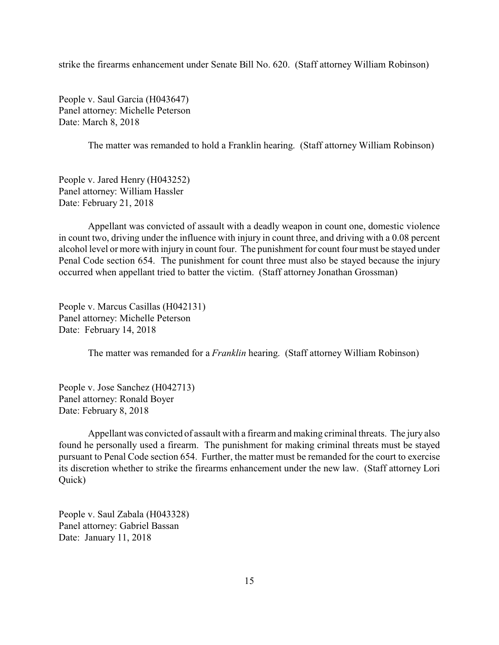strike the firearms enhancement under Senate Bill No. 620. (Staff attorney William Robinson)

People v. Saul Garcia (H043647) Panel attorney: Michelle Peterson Date: March 8, 2018

The matter was remanded to hold a Franklin hearing. (Staff attorney William Robinson)

People v. Jared Henry (H043252) Panel attorney: William Hassler Date: February 21, 2018

Appellant was convicted of assault with a deadly weapon in count one, domestic violence in count two, driving under the influence with injury in count three, and driving with a 0.08 percent alcohol level or more with injury in count four. The punishment for count four must be stayed under Penal Code section 654. The punishment for count three must also be stayed because the injury occurred when appellant tried to batter the victim. (Staff attorney Jonathan Grossman)

People v. Marcus Casillas (H042131) Panel attorney: Michelle Peterson Date: February 14, 2018

The matter was remanded for a *Franklin* hearing. (Staff attorney William Robinson)

People v. Jose Sanchez (H042713) Panel attorney: Ronald Boyer Date: February 8, 2018

Appellant was convicted of assault with a firearm and making criminal threats. The jury also found he personally used a firearm. The punishment for making criminal threats must be stayed pursuant to Penal Code section 654. Further, the matter must be remanded for the court to exercise its discretion whether to strike the firearms enhancement under the new law. (Staff attorney Lori Quick)

People v. Saul Zabala (H043328) Panel attorney: Gabriel Bassan Date: January 11, 2018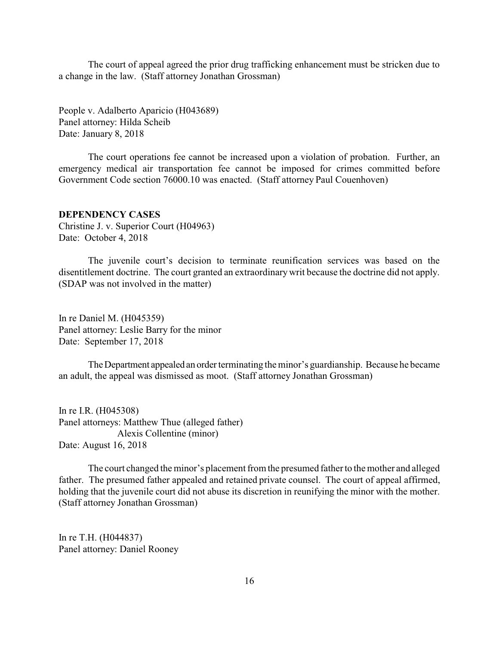<span id="page-15-0"></span>The court of appeal agreed the prior drug trafficking enhancement must be stricken due to a change in the law. (Staff attorney Jonathan Grossman)

People v. Adalberto Aparicio (H043689) Panel attorney: Hilda Scheib Date: January 8, 2018

The court operations fee cannot be increased upon a violation of probation. Further, an emergency medical air transportation fee cannot be imposed for crimes committed before Government Code section 76000.10 was enacted. (Staff attorney Paul Couenhoven)

#### **DEPENDENCY CASES**

Christine J. v. Superior Court (H04963) Date: October 4, 2018

The juvenile court's decision to terminate reunification services was based on the disentitlement doctrine. The court granted an extraordinarywrit because the doctrine did not apply. (SDAP was not involved in the matter)

In re Daniel M. (H045359) Panel attorney: Leslie Barry for the minor Date: September 17, 2018

The Department appealed an order terminating the minor's guardianship. Because he became an adult, the appeal was dismissed as moot. (Staff attorney Jonathan Grossman)

In re I.R. (H045308) Panel attorneys: Matthew Thue (alleged father) Alexis Collentine (minor) Date: August 16, 2018

The court changed the minor's placement from the presumed father to the mother and alleged father. The presumed father appealed and retained private counsel. The court of appeal affirmed, holding that the juvenile court did not abuse its discretion in reunifying the minor with the mother. (Staff attorney Jonathan Grossman)

In re T.H. (H044837) Panel attorney: Daniel Rooney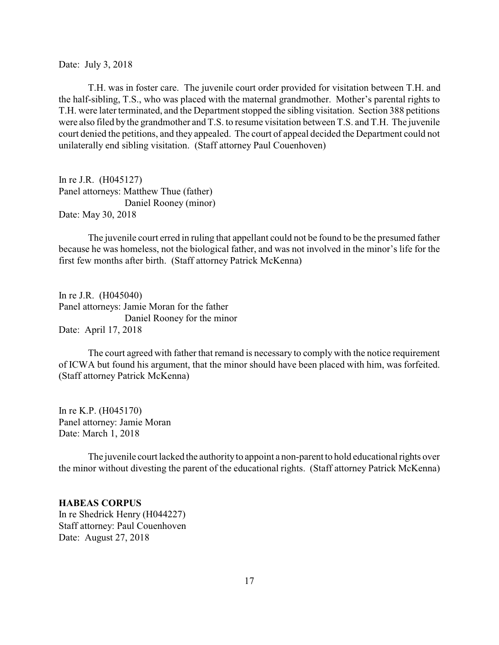<span id="page-16-0"></span>Date: July 3, 2018

T.H. was in foster care. The juvenile court order provided for visitation between T.H. and the half-sibling, T.S., who was placed with the maternal grandmother. Mother's parental rights to T.H. were later terminated, and the Department stopped the sibling visitation. Section 388 petitions were also filed by the grandmother and T.S. to resume visitation between T.S. and T.H. The juvenile court denied the petitions, and they appealed. The court of appeal decided the Department could not unilaterally end sibling visitation. (Staff attorney Paul Couenhoven)

In re J.R. (H045127) Panel attorneys: Matthew Thue (father) Daniel Rooney (minor) Date: May 30, 2018

The juvenile court erred in ruling that appellant could not be found to be the presumed father because he was homeless, not the biological father, and was not involved in the minor's life for the first few months after birth. (Staff attorney Patrick McKenna)

In re J.R. (H045040) Panel attorneys: Jamie Moran for the father Daniel Rooney for the minor Date: April 17, 2018

The court agreed with father that remand is necessary to comply with the notice requirement of ICWA but found his argument, that the minor should have been placed with him, was forfeited. (Staff attorney Patrick McKenna)

In re K.P. (H045170) Panel attorney: Jamie Moran Date: March 1, 2018

The juvenile court lacked the authority to appoint a non-parent to hold educational rights over the minor without divesting the parent of the educational rights. (Staff attorney Patrick McKenna)

## **HABEAS CORPUS**

In re Shedrick Henry (H044227) Staff attorney: Paul Couenhoven Date: August 27, 2018